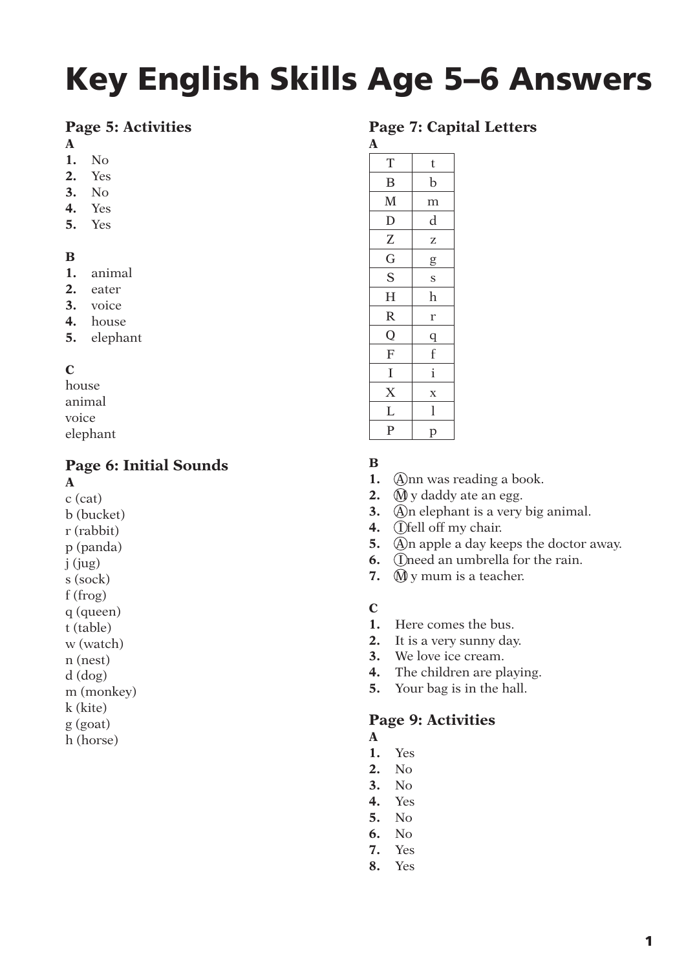# **Key English Skills Age 5–6 Answers**

# **Page 5: Activities**

- **A**
- **1.** No
- **2.** Yes
- **3.** No
- **4.** Yes
- **5.** Yes

### **B**

- **1.** animal
- **2.** eater
- **3.** voice
- **4.** house
- **5.** elephant

# **C**

house animal voice elephant

# **Page 6: Initial Sounds**

**A** 

- c (cat)
- b (bucket) r (rabbit)
- p (panda)
- j (jug)
- s (sock)
- f (frog)
- q (queen)
- t (table)
- w (watch)
- n (nest)
- d (dog)
- m (monkey)
- k (kite)
- g (goat)
- h (horse)

# **Page 7: Capital Letters**

**A**  $T \mid t$  $B$  b  $M \mid m$  $D$  d  $Z \mid z$  $G \mid g$  $S \mid s$ H h  $R \mid r$  $Q \mid q$  $F \mid f$  $I \mid i$  $X \mid x$  $L \mid 1$  $P$  p

# **B**

- **1.** Ann was reading a book.
- **2. M** y daddy ate an egg.
- **3.** An elephant is a very big animal.
- 4. *I*fell off my chair.
- **5.** An apple a day keeps the doctor away.
- **6. I** Oneed an umbrella for the rain.
- **7.** *M* y mum is a teacher.
- **C**
- **1.** Here comes the bus.
- **2.** It is a very sunny day.
- **3.** We love ice cream.
- **4.** The children are playing.
- **5.** Your bag is in the hall.

# **Page 9: Activities**

- **A**
- **1.** Yes
- **2.** No
- **3.** No
- **4.** Yes
- **5.** No
- **6.** No
- **7.** Yes
- **8.** Yes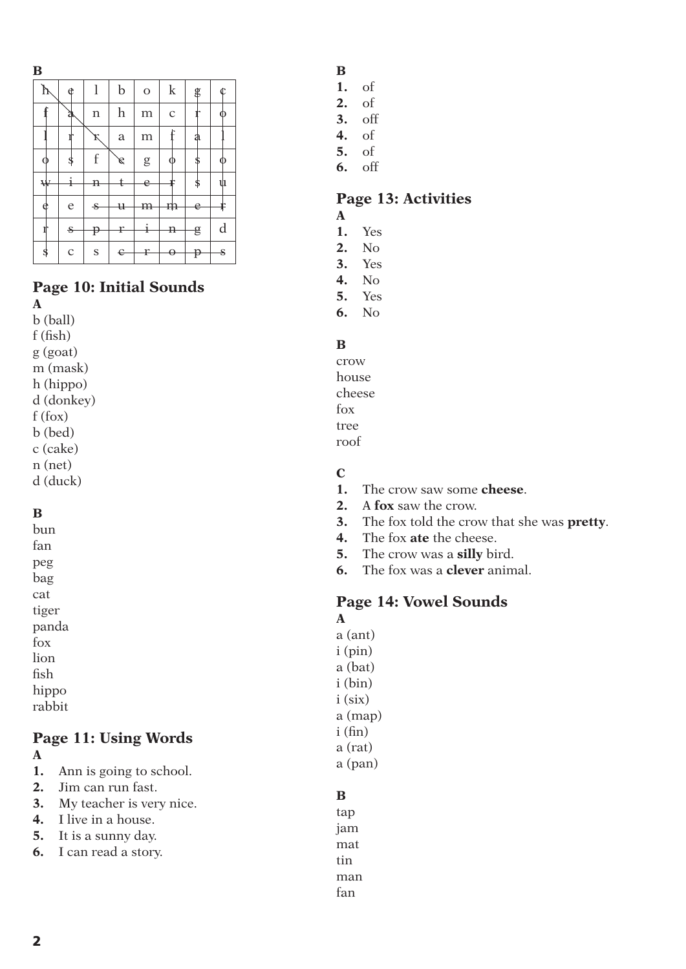| × | . .<br>. . |        |  |
|---|------------|--------|--|
|   | w<br>. .   | i<br>ł |  |

| þ | ¢            |               | $\mathbf b$               | $\mathbf{O}$ | $\mathbf k$  | g  |   |
|---|--------------|---------------|---------------------------|--------------|--------------|----|---|
|   | a            | $\mathbf n$   | $\boldsymbol{\mathrm{h}}$ | m            | $\mathbf C$  |    |   |
|   |              | ĸ             | $\rm{a}$                  | m            |              | a  |   |
|   | \$           | f             | $\mathscr{E}$             | ${\rm g}$    |              |    |   |
| ₩ | ı            | n             |                           | è            |              | \$ | ů |
| e | $\mathsf{e}$ | -S            | $_{\rm{u}}$               | m            | m            | e  |   |
|   | $\mathbf{s}$ | p             | ŗ                         |              | $\mathbf{H}$ | g  | d |
|   | $\mathbf C$  | ${\mathbf S}$ | Є                         | ŗ            |              | P  | S |

# **Page 10: Initial Sounds**

**A**  b (ball) f (fish) g (goat) m (mask) h (hippo) d (donkey) f (fox) b (bed) c (cake) n (net) d (duck)

### **B**

bun fan peg bag cat tiger panda fox lion fish hippo rabbit

# **Page 11: Using Words**

- **A**
- **1.** Ann is going to school.
- **2.** Jim can run fast.
- **3.** My teacher is very nice.
- **4.** I live in a house.
- **5.** It is a sunny day.
- **6.** I can read a story.
- **B**
- **1.** of
- **2.** of
- **3.** off
- **4.** of
- **5.** of
- **6.** off

# **Page 13: Activities**

- **A**
- **1.** Yes **2.** No
- **3.** Yes
- **4.** No
- **5.** Yes
- **6.** No

### **B**

crow house cheese fox tree roof

## **C**

- **1.** The crow saw some **cheese**.
- **2.** A **fox** saw the crow.
- **3.** The fox told the crow that she was **pretty**.
- **4.** The fox **ate** the cheese.
- **5.** The crow was a **silly** bird.
- **6.** The fox was a **clever** animal.

# **Page 14: Vowel Sounds**

**A** a (ant) i (pin) a (bat) i (bin) i (six) a (map)  $i(fin)$ a (rat) a (pan)

# **B**

tap jam mat tin man fan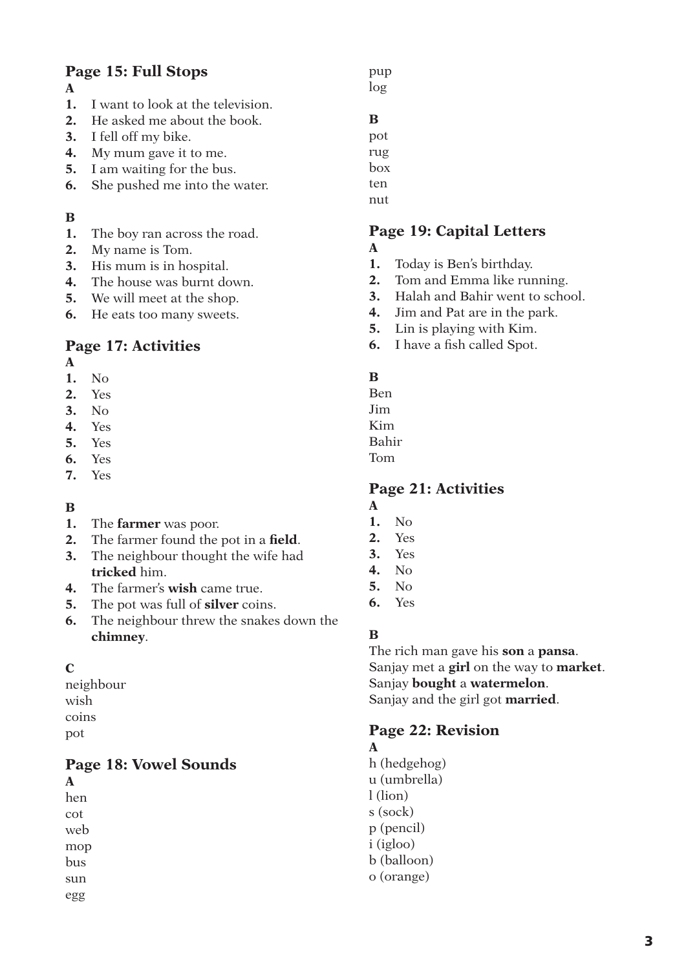# **Page 15: Full Stops**

### **A**

- **1.** I want to look at the television.
- **2.** He asked me about the book.
- **3.** I fell off my bike.
- **4.** My mum gave it to me.
- **5.** I am waiting for the bus.
- **6.** She pushed me into the water.

### **B**

- **1.** The boy ran across the road.
- **2.** My name is Tom.
- **3.** His mum is in hospital.
- **4.** The house was burnt down.
- **5.** We will meet at the shop.
- **6.** He eats too many sweets.

# **Page 17: Activities**

**A**

- **1.** No
- **2.** Yes
- **3.** No **4.** Yes
- **5.** Yes
- **6.** Yes
- **7.** Yes
- 

### **B**

- **1.** The **farmer** was poor.
- **2.** The farmer found the pot in a **field**.
- **3.** The neighbour thought the wife had **tricked** him.
- **4.** The farmer's **wish** came true.
- **5.** The pot was full of **silver** coins.
- **6.** The neighbour threw the snakes down the **chimney**.

### **C**

neighbour wish coins pot

# **Page 18: Vowel Sounds**

**A**  hen cot web mop bus sun egg

pup log

# **B**

pot rug

box

ten

nut

### **Page 19: Capital Letters A**

- **1.** Today is Ben's birthday.
- **2.** Tom and Emma like running.
- **3.** Halah and Bahir went to school.
- **4.** Jim and Pat are in the park.
- **5.** Lin is playing with Kim.
- **6.** I have a fish called Spot.

### **B**

Ben Jim Kim Bahir Tom

# **Page 21: Activities**

- **A**
- **1.** No
- **2.** Yes **3.** Yes
- **4.** No
- **5.** No
- **6.** Yes
- **B**

The rich man gave his **son** a **pansa**. Sanjay met a **girl** on the way to **market**. Sanjay **bought** a **watermelon**. Sanjay and the girl got **married**.

# **Page 22: Revision**

### **A**

h (hedgehog) u (umbrella) l (lion) s (sock) p (pencil) i (igloo) b (balloon) o (orange)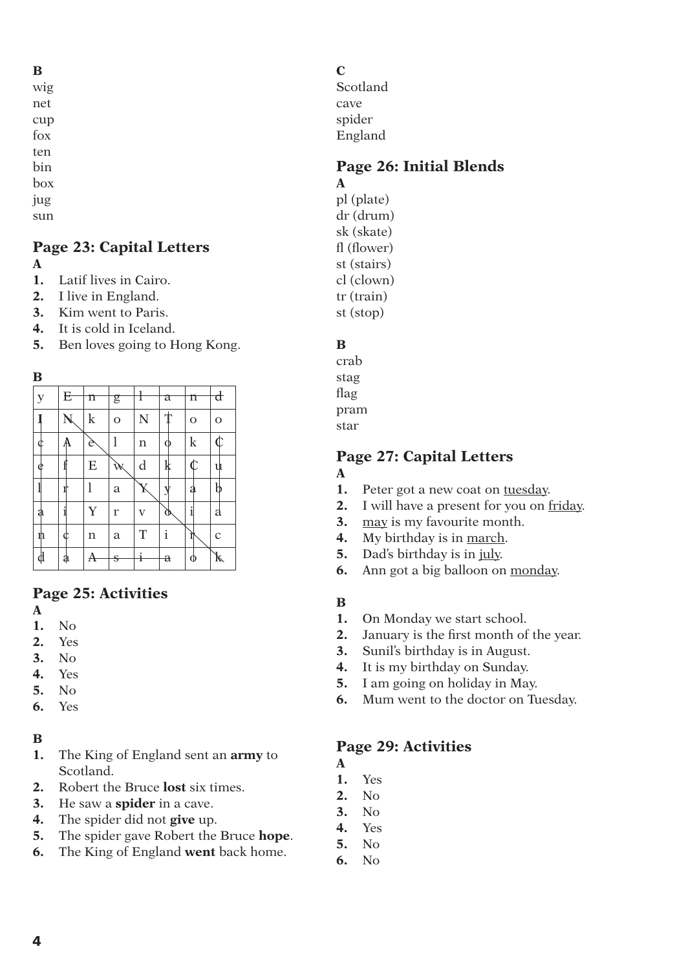# **Page 23: Capital Letters**

### **A**

sun

- **1.** Latif lives in Cairo.
- **2.** I live in England.
- **3.** Kim went to Paris.
- **4.** It is cold in Iceland.
- **5.** Ben loves going to Hong Kong.



| $\mathbf y$ | E                       | n       | g           |                         | а           | n                       | đ           |
|-------------|-------------------------|---------|-------------|-------------------------|-------------|-------------------------|-------------|
|             | $\overline{\mathsf{N}}$ | $\bf k$ | $\mathbf O$ | N                       |             | $\mathbf{O}$            | $\mathbf O$ |
|             |                         | è       |             | n                       |             | $\mathbf k$             | ⋔           |
| ¢           |                         | E       | Ŵ           | d                       | k           | $\overline{\mathbb{C}}$ | u           |
|             |                         | l       | a           | $\overline{\mathrm{K}}$ |             | a                       | b           |
| a           |                         | Y       | $\mathbf r$ | V                       | Ø           | i                       | a           |
| n           |                         | n       | a           | $\mathbf T$             | $\mathbf i$ | Ì                       | $\mathbf C$ |
|             | ą                       |         | s           | i                       | $\mathbf a$ |                         | k           |

# **Page 25: Activities**

- **A**
- **1.** No
- **2.** Yes
- **3.** No
- **4.** Yes
- **5.** No
- **6.** Yes

### **B**

- **1.** The King of England sent an **army** to Scotland.
- **2.** Robert the Bruce **lost** six times.
- **3.** He saw a **spider** in a cave.
- **4.** The spider did not **give** up.
- **5.** The spider gave Robert the Bruce **hope**.
- **6.** The King of England **went** back home.

**C**

Scotland cave spider England

# **Page 26: Initial Blends**

**A** pl (plate) dr (drum) sk (skate) fl (flower) st (stairs) cl (clown) tr (train) st (stop)

# **B**

crab stag flag pram star

# **Page 27: Capital Letters**

### **A**

- **1.** Peter got a new coat on tuesday.
- **2.** I will have a present for you on friday.
- **3.** may is my favourite month.
- **4.** My birthday is in march.
- **5.** Dad's birthday is in july.
- **6.** Ann got a big balloon on monday.

### **B**

- **1.** On Monday we start school.
- **2.** January is the first month of the year.
- **3.** Sunil's birthday is in August.
- **4.** It is my birthday on Sunday.
- **5.** I am going on holiday in May.
- **6.** Mum went to the doctor on Tuesday.

# **Page 29: Activities**

- **A**
- **1.** Yes
- **2.** No **3.** No
- 
- **4.** Yes **5.** No
- **6.** No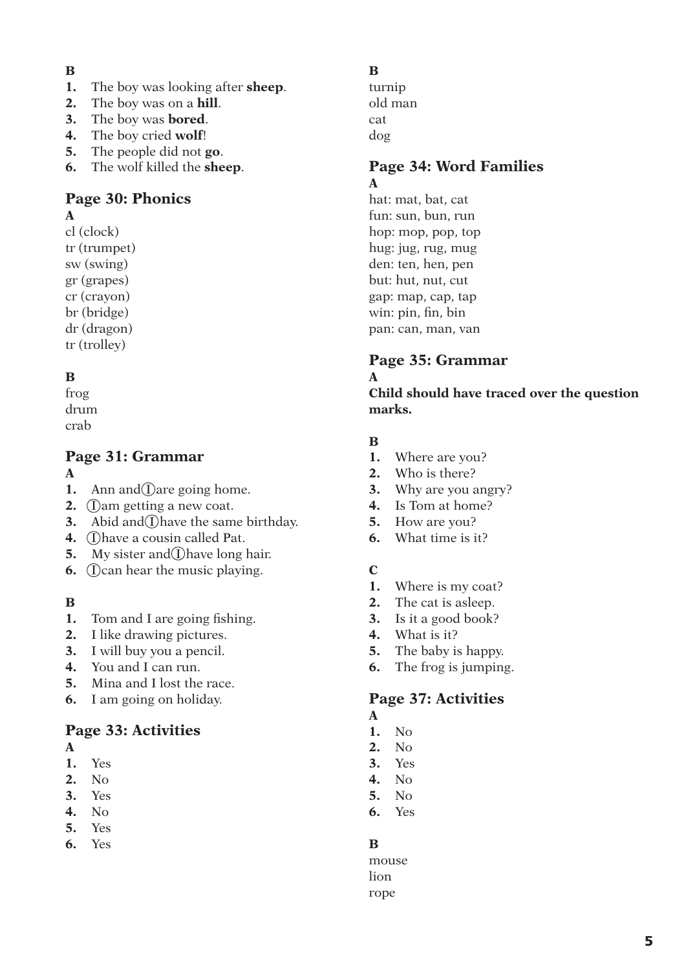### **B**

- **1.** The boy was looking after **sheep**.
- **2.** The boy was on a **hill**.
- **3.** The boy was **bored**.
- **4.** The boy cried **wolf**!
- **5.** The people did not **go**.
- **6.** The wolf killed the **sheep**.

# **Page 30: Phonics**

## **A**

- cl (clock) tr (trumpet) sw (swing) gr (grapes)
- cr (crayon)
- br (bridge)
- dr (dragon)
- tr (trolley)

# **B**

frog drum crab

# **Page 31: Grammar**

### **A**

- **1.** Ann and  $\Omega$  are going home.
- **2.** *I*) am getting a new coat.
- **3.** Abid and  $\overline{1}$  have the same birthday.
- **4.** *Ohave a cousin called Pat.*
- **5.** My sister and *I* have long hair.
- **6. (Dean hear the music playing.**

# **B**

- **1.** Tom and I are going fishing.
- **2.** I like drawing pictures.
- **3.** I will buy you a pencil.
- **4.** You and I can run.
- **5.** Mina and I lost the race.
- **6.** I am going on holiday.

# **Page 33: Activities**

- **A**
- **1.** Yes
- **2.** No
- **3.** Yes
- **4.** No
- **5.** Yes **6.** Yes
- **B**
- turnip old man cat dog

# **Page 34: Word Families A**

hat: mat, bat, cat fun: sun, bun, run hop: mop, pop, top hug: jug, rug, mug den: ten, hen, pen but: hut, nut, cut gap: map, cap, tap win: pin, fin, bin pan: can, man, van

# **Page 35: Grammar A**

**Child should have traced over the question marks.**

# **B**

- **1.** Where are you?
- **2.** Who is there?
- **3.** Why are you angry?
- **4.** Is Tom at home?
- **5.** How are you?
- **6.** What time is it?

# **C**

- **1.** Where is my coat?
- **2.** The cat is asleep.
- **3.** Is it a good book?
- **4.** What is it?
- **5.** The baby is happy.
- **6.** The frog is jumping.

# **Page 37: Activities**

- **A**
- **1.** No
- **2.** No
- **3.** Yes
- **4.** No
- **5.** No
- **6.** Yes

# **B**

mouse lion rope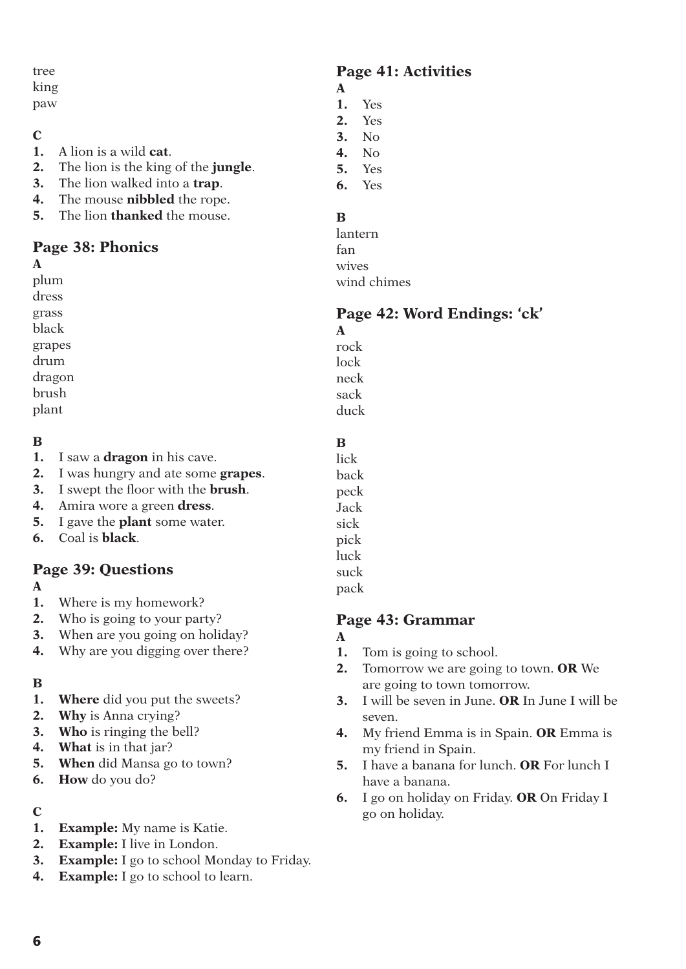### tree king

paw

# **C**

- **1.** A lion is a wild **cat**.
- **2.** The lion is the king of the **jungle**.
- **3.** The lion walked into a **trap**.
- **4.** The mouse **nibbled** the rope.
- **5.** The lion **thanked** the mouse.

# **Page 38: Phonics**

## **A**

plum dress grass black

grapes drum dragon brush plant

# **B**

- **1.** I saw a **dragon** in his cave.
- **2.** I was hungry and ate some **grapes**.
- **3.** I swept the floor with the **brush**.
- **4.** Amira wore a green **dress**.
- **5.** I gave the **plant** some water.
- **6.** Coal is **black**.

# **Page 39: Questions**

### **A**

- **1.** Where is my homework?
- **2.** Who is going to your party?
- **3.** When are you going on holiday?
- **4.** Why are you digging over there?

# **B**

- **1. Where** did you put the sweets?
- **2. Why** is Anna crying?
- **3. Who** is ringing the bell?
- **4. What** is in that jar?
- **5. When** did Mansa go to town?
- **6. How** do you do?

# **C**

- **1. Example:** My name is Katie.
- **2. Example:** I live in London.
- **3. Example:** I go to school Monday to Friday.
- **4. Example:** I go to school to learn.

# **Page 41: Activities**

- **A**
- **1.** Yes
- **2.** Yes
- **3.** No
- **4.** No
- **5.** Yes
- **6.** Yes

# **B**

lantern fan wives wind chimes

# **Page 42: Word Endings: 'ck'**

**A** rock lock neck sack duck

# **B**

lick back peck Jack sick pick luck suck pack

# **Page 43: Grammar**

# **A**

- **1.** Tom is going to school.
- **2.** Tomorrow we are going to town. **OR** We are going to town tomorrow.
- **3.** I will be seven in June. **OR** In June I will be seven.
- **4.** My friend Emma is in Spain. **OR** Emma is my friend in Spain.
- **5.** I have a banana for lunch. **OR** For lunch I have a banana.
- **6.** I go on holiday on Friday. **OR** On Friday I go on holiday.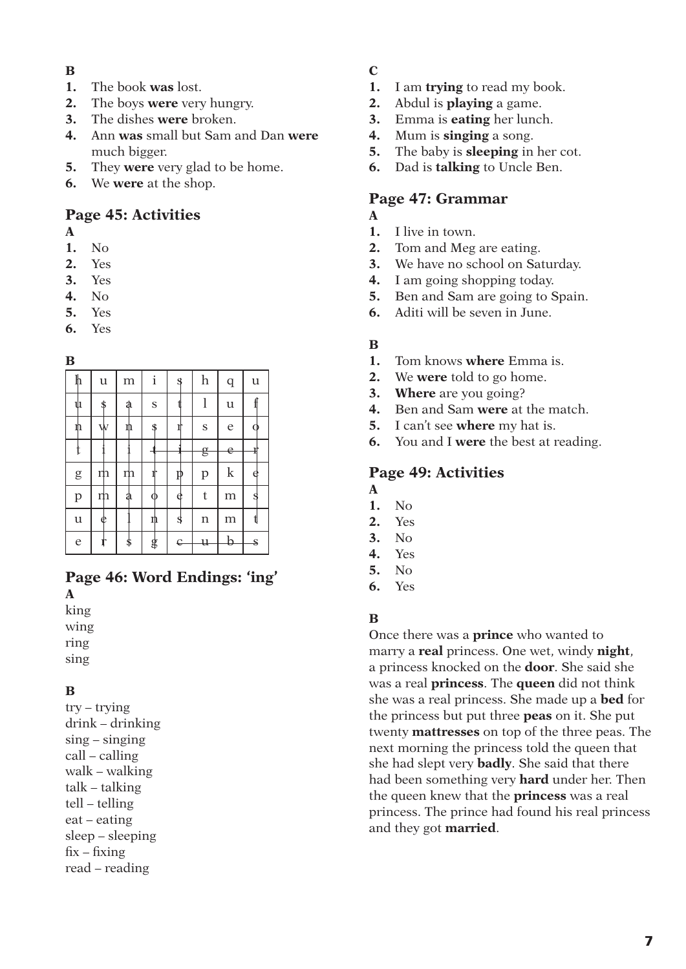### **B**

- **1.** The book **was** lost.
- **2.** The boys **were** very hungry.
- **3.** The dishes **were** broken.
- **4.** Ann **was** small but Sam and Dan **were** much bigger.
- **5.** They **were** very glad to be home.
- **6.** We **were** at the shop.

## **Page 45: Activities**

- **A**
- **1.** No
- **2.** Yes
- **3.** Yes
- **4.** No
- **5.** Yes
- **6.** Yes

### **B**

| $\mathbb h$   | $\mathfrak u$ | m  | i  | \$ | $\boldsymbol{\mathrm{h}}$ | $\mathbf q$   | $\mathbf u$ |
|---------------|---------------|----|----|----|---------------------------|---------------|-------------|
| ψı            | \$            | a  | S  |    | l                         | $\mathfrak u$ |             |
| ŋ             | Ŵ             | n  | \$ |    | ${\bf S}$                 | e             |             |
|               |               |    |    |    | g                         | e             |             |
| ${\rm g}$     | m             | m  |    |    | $\mathbf{p}$              | $\mathbf k$   | e           |
| $\mathbf{p}$  | m             | a  |    | ¢  | t                         | m             |             |
| $\mathfrak u$ | ¢             |    | n  | \$ | n                         | m             |             |
| e             |               | \$ | \$ | e  | u                         |               | S           |

# **Page 46: Word Endings: 'ing'**

**A** king wing ring

sing

### **B**

try – trying drink – drinking sing – singing call – calling walk – walking talk – talking tell – telling eat – eating sleep – sleeping  $fix - fixing$ read – reading

# **C**

- **1.** I am **trying** to read my book.
- **2.** Abdul is **playing** a game.
- **3.** Emma is **eating** her lunch.
- **4.** Mum is **singing** a song.
- **5.** The baby is **sleeping** in her cot.
- **6.** Dad is **talking** to Uncle Ben.

### **Page 47: Grammar A**

- **1.** I live in town.
- **2.** Tom and Meg are eating.
- **3.** We have no school on Saturday.
- **4.** I am going shopping today.
- **5.** Ben and Sam are going to Spain.
- **6.** Aditi will be seven in June.

### **B**

- **1.** Tom knows **where** Emma is.
- **2.** We **were** told to go home.
- **3. Where** are you going?
- **4.** Ben and Sam **were** at the match.
- **5.** I can't see **where** my hat is.
- **6.** You and I **were** the best at reading.

## **Page 49: Activities**

- **A**
- **1.** No
- **2.** Yes
- **3.** No
- **4.** Yes **5.** No
- 
- **6.** Yes

### **B**

Once there was a **prince** who wanted to marry a **real** princess. One wet, windy **night**, a princess knocked on the **door**. She said she was a real **princess**. The **queen** did not think she was a real princess. She made up a **bed** for the princess but put three **peas** on it. She put twenty **mattresses** on top of the three peas. The next morning the princess told the queen that she had slept very **badly**. She said that there had been something very **hard** under her. Then the queen knew that the **princess** was a real princess. The prince had found his real princess and they got **married**.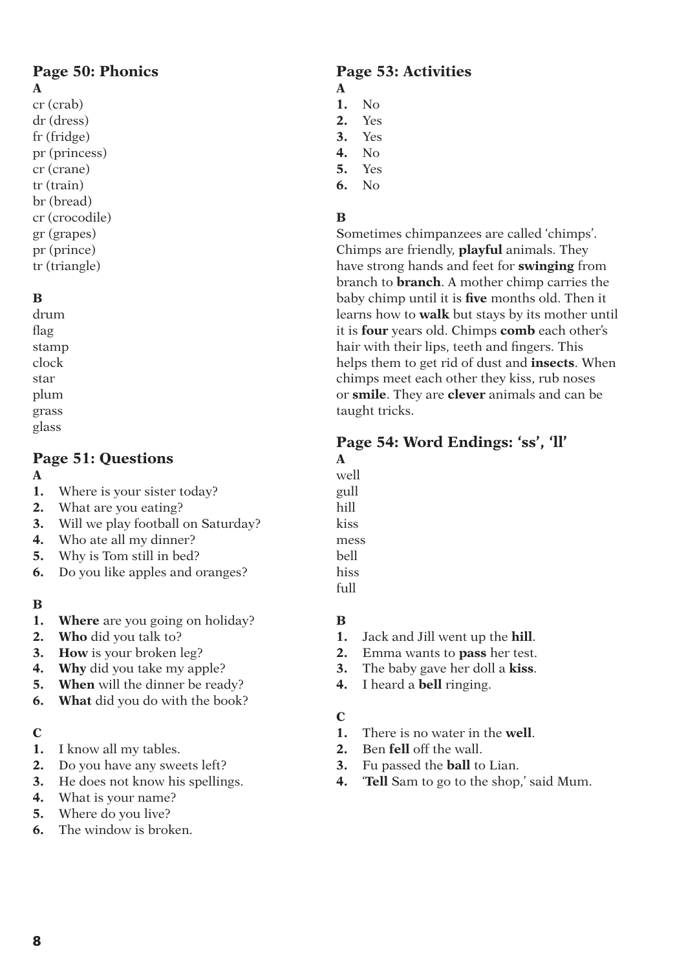### **Page 50: Phonics A**

cr (crab) dr (dress) fr (fridge) pr (princess) cr (crane) tr (train) br (bread) cr (crocodile) gr (grapes) pr (prince) tr (triangle)

# **B**

drum flag stamp clock star plum grass glass

# **Page 51: Questions**

### **A**

- **1.** Where is your sister today?
- **2.** What are you eating?
- **3.** Will we play football on Saturday?
- **4.** Who ate all my dinner?
- **5.** Why is Tom still in bed?
- **6.** Do you like apples and oranges?

# **B**

- **1. Where** are you going on holiday?
- **2. Who** did you talk to?
- **3. How** is your broken leg?
- **4. Why** did you take my apple?
- **5.** When will the dinner be ready?
- **6. What** did you do with the book?

### **C**

- **1.** I know all my tables.
- **2.** Do you have any sweets left?
- **3.** He does not know his spellings.
- **4.** What is your name?
- **5.** Where do you live?
- **6.** The window is broken.

# **Page 53: Activities**

- **A 1.** No
- **2.** Yes
- **3.** Yes
- **4.** No
- **5.** Yes
- **6.** No

# **B**

Sometimes chimpanzees are called 'chimps'. Chimps are friendly, **playful** animals. They have strong hands and feet for **swinging** from branch to **branch**. A mother chimp carries the baby chimp until it is **five** months old. Then it learns how to **walk** but stays by its mother until it is **four** years old. Chimps **comb** each other's hair with their lips, teeth and fingers. This helps them to get rid of dust and **insects**. When chimps meet each other they kiss, rub noses or **smile**. They are **clever** animals and can be taught tricks.

# **Page 54: Word Endings: 'ss', 'll'**

- **A** well gull hill kiss mess
- bell
- hiss
- full

# **B**

- **1.** Jack and Jill went up the **hill**.
- **2.** Emma wants to **pass** her test.
- **3.** The baby gave her doll a **kiss**.
- **4.** I heard a **bell** ringing.

### **C**

- **1.** There is no water in the **well**.
- **2.** Ben **fell** off the wall.
- **3.** Fu passed the **ball** to Lian.
- **4.** '**Tell** Sam to go to the shop,' said Mum.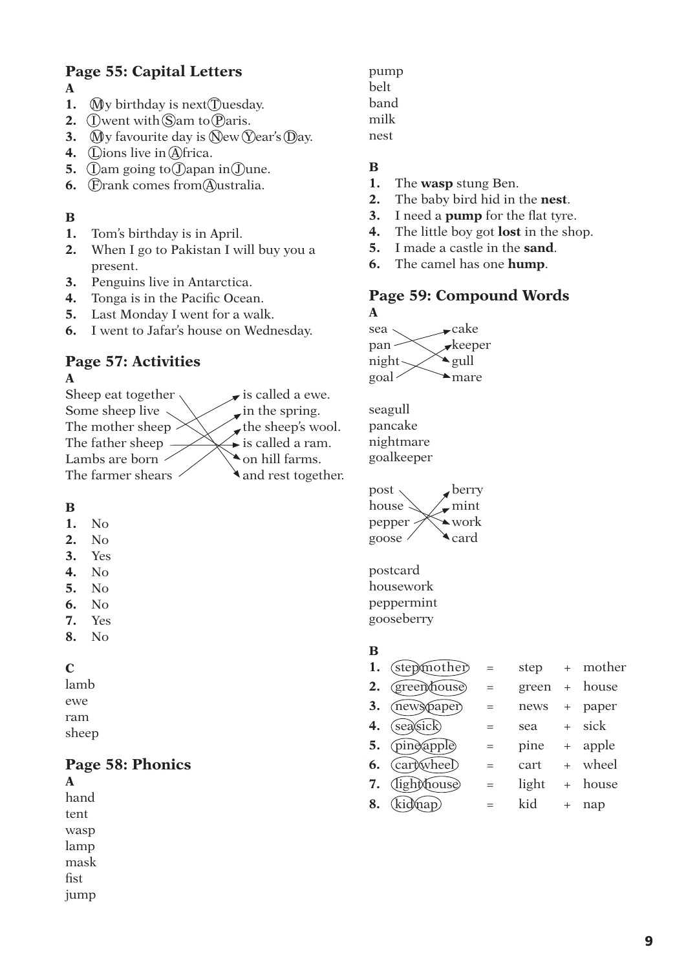# **Page 55: Capital Letters**

- **A**
- **1.**  $\hat{M}$  y birthday is next  $\hat{T}$  uesday.
- **2.**  $\Omega$  went with  $\Omega$  am to  $\Omega$  aris.
- **3.**  $\mathbb{N}$ y favourite day is  $\mathbb{N}$ ew  $\mathbb{N}$ ear's  $\mathbb{N}$ ay.
- **4.** Clions live in Africa.
- **5.**  $\Omega$  am going to  $\Omega$  apan in  $\Omega$  une.
- **6. F**rank comes from Australia.

## **B**

- **1.** Tom's birthday is in April.
- **2.** When I go to Pakistan I will buy you a present.
- **3.** Penguins live in Antarctica.
- **4.** Tonga is in the Pacific Ocean.
- **5.** Last Monday I went for a walk.
- **6.** I went to Jafar's house on Wednesday.

### **Page 57: Activities A**

Sheep eat together  $\sqrt{\phantom{a}}$  is called a ewe. Some sheep live  $\diagdown$  in the spring. The mother sheep  $\left\langle \right\rangle$  the sheep's wool. The father sheep  $\longrightarrow$  is called a ram. Lambs are born  $\angle$   $\angle$   $\Diamond$  on hill farms. The farmer shears  $\angle$  and rest together.

# **B**

- **1.** No
- **2.** No
- **3.** Yes
- **4.** No
- **5.** No
- **6.** No
- **7.** Yes
- **8.** No

# **C**

lamb ewe ram sheep

# **Page 58: Phonics**

**A** hand tent wasp lamp mask fist jump pump belt band milk nest

# **B**

- **1.** The **wasp** stung Ben.
- **2.** The baby bird hid in the **nest**.
- **3.** I need a **pump** for the flat tyre.
- **4.** The little boy got **lost** in the shop.
- **5.** I made a castle in the **sand**.
- **6.** The camel has one **hump**.

### **Page 59: Compound Words A**

 $sea \sim$  cake  $pan \times$  keeper night  $\sim$   $\sim$  eull  $\sim$  mare

seagull pancake nightmare goalkeeper

 $post \sim$  berry house  $\geqslant$  /\_mint pepper  $\mathbb{X}$  work goose  $\angle$   $\triangle$  card

postcard housework peppermint gooseberry

### **B**

| 1. | (stepmother)         | $=$ | step  | $+$    | mother  |
|----|----------------------|-----|-------|--------|---------|
| 2. | <i>(green/house)</i> | $=$ | green | $+$    | house   |
| 3. | (newspaper)          | $=$ | news  |        | paper   |
| 4. | (sea)sick)           |     | sea   |        | sick    |
| 5. | <i>(pine apple)</i>  | $=$ | pine  |        | + apple |
| 6. | (car) wheel)         | $=$ | cart  |        | wheel   |
| 7. | <i>dighithouse</i>   | $=$ | light | $^{+}$ | house   |
| 8. | (kidmap)             |     | kid   | $^{+}$ | nap     |
|    |                      |     |       |        |         |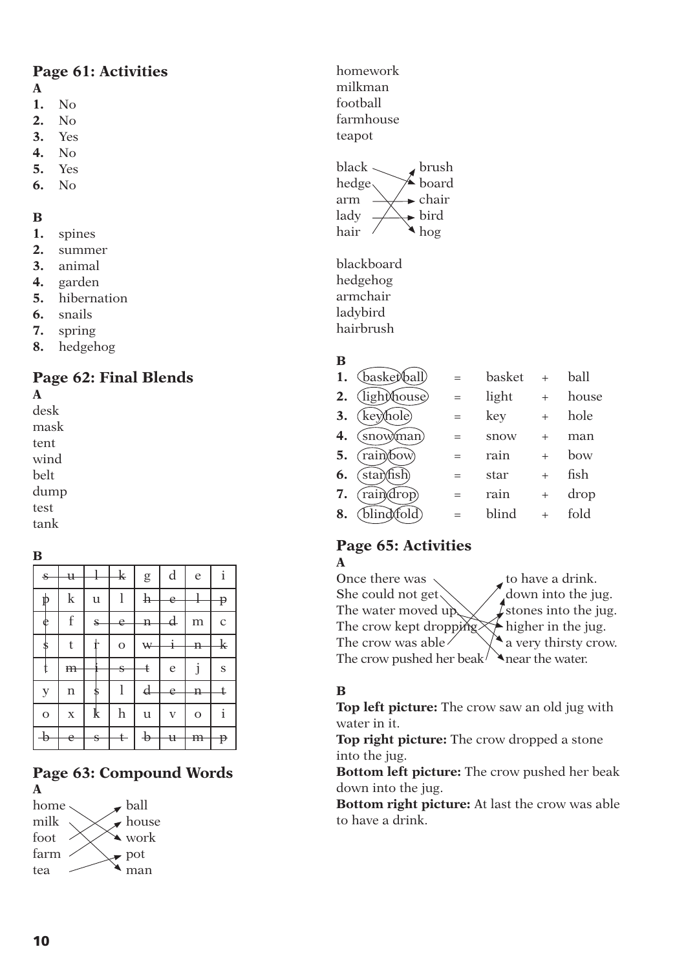# **Page 61: Activities**

### **A**

- **1.** No
- **2.** No
- **3.** Yes
- **4.** No
- **5.** Yes
- **6.** No

# **B**

- **1.** spines
- **2.** summer
- **3.** animal
- **4.** garden
- **5.** hibernation
- **6.** snails
- **7.** spring
- **8.** hedgehog

# **Page 62: Final Blends**

**A** desk mask tent wind belt dump test tank

**B**

| ß              |                |              |                        |                           |                         |              |             |
|----------------|----------------|--------------|------------------------|---------------------------|-------------------------|--------------|-------------|
| $\mathbf{s}$   | $\mathfrak{u}$ |              | $\frac{1}{\mathbf{k}}$ | g                         | d                       | e            | i           |
| ⋫              | $\bf k$        | $\mathbf u$  | l                      | $\mathbf{h}$              | e                       | ı            | p           |
| $\frac{1}{2}$  | f              | $\mathbf{s}$ | e                      | $\mathbf{H}$              | $_{\rm d}$              | m            | $\mathbf C$ |
| \$             | t              |              | $\mathbf O$            | W                         | į                       | $\mathbf{n}$ | $_{\rm k}$  |
|                | m              |              | Ś                      | ŧ                         | e                       | j            | S           |
| $\mathbf{y}$   | n              | æ            | l                      | $\boldsymbol{\mathrm{d}}$ | e                       | $\mathbf n$  | ŧ           |
| $\overline{O}$ | $\mathbf X$    | k            | $\mathbf h$            | $\mathbf u$               | $\overline{\mathbf{V}}$ | $\mathbf O$  | $\mathbf i$ |
| $\rightarrow$  | e              | $\mathbf{s}$ | ŧ                      | $\frac{1}{2}$             | $\mathbf{\mathfrak{u}}$ | m            | p           |

# **Page 63: Compound Words A**



homework milkman football farmhouse teapot

black  $\sim$  brush hedge  $\searrow$  board arm  $\rightarrow \rightarrow$  chair lady  $\longrightarrow$  bird hair  $\wedge$   $\wedge$  hog

blackboard hedgehog armchair ladybird hairbrush

# **B**

| 1. | (baske)(ball) | $=$ | basket | $^{+}$    | ball  |
|----|---------------|-----|--------|-----------|-------|
| 2. | (lighmouse)   | $=$ | light  | $\ddot{}$ | house |
| 3. | (keyhole)     | $=$ | key    | $^{+}$    | hole  |
| 4. | (snowman)     | $=$ | snow   | $\ddot{}$ | man   |
| 5. | rain bow      | $=$ | rain   |           | bow   |
| 6. | star\fish     |     | star   | $^{+}$    | fish  |
| 7. | raindrop)     | $=$ | rain   | $^{+}$    | drop  |
| 8. | blind\fold`   |     | blind  |           | fold  |
|    |               |     |        |           |       |

### **Page 65: Activities A**

Once there was  $\sim$  to have a drink. She could not get  $\setminus$   $\bigwedge$  down into the jug. The water moved up  $\chi$  stones into the jug.<br>The crow kept dropping  $\chi$  higher in the jug. The crow kept dropping The crow was able  $\Diamond$   $\Diamond$  a very thirsty crow. The crow pushed her beak  $\lambda$  near the water.

# **B**

**Top left picture:** The crow saw an old jug with water in it.

**Top right picture:** The crow dropped a stone into the jug.

**Bottom left picture:** The crow pushed her beak down into the jug.

**Bottom right picture:** At last the crow was able to have a drink.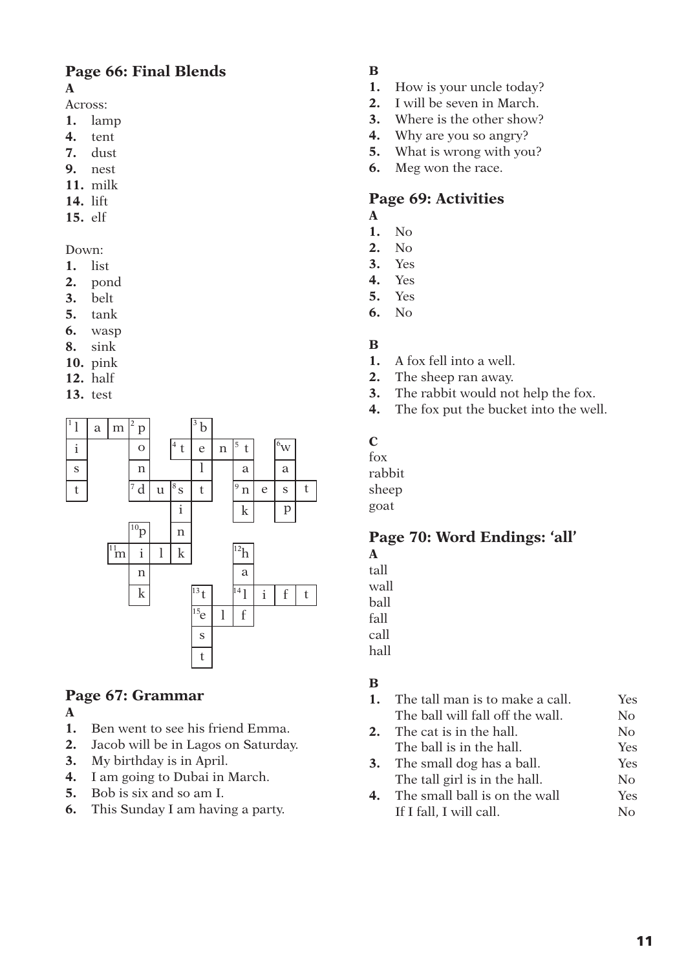### **Page 66: Final Blends A**

- Across:
- **1.** lamp
- **4.** tent
- **7.** dust
- **9.** nest
- **11.** milk
- **14.** lift
- **15.** elf

### Down:

- **1.** list
- **2.** pond
- **3.** belt
- **5.** tank
- **6.** wasp
- **8.** sink
- **10.** pink
- **12.** half
- **13.** test



# **Page 67: Grammar**

### **A**

- **1.** Ben went to see his friend Emma.
- **2.** Jacob will be in Lagos on Saturday.
- **3.** My birthday is in April.
- **4.** I am going to Dubai in March.
- **5.** Bob is six and so am I.
- **6.** This Sunday I am having a party.

## **B**

- **1.** How is your uncle today?
- **2.** I will be seven in March.
- **3.** Where is the other show?
- **4.** Why are you so angry?
- **5.** What is wrong with you?
- **6.** Meg won the race.

# **Page 69: Activities**

- **A**
- **1.** No **2.** No
- **3.** Yes
- **4.** Yes
- **5.** Yes
- **6.** No
- 

### **B**

- **1.** A fox fell into a well.
- **2.** The sheep ran away.
- **3.** The rabbit would not help the fox.
- **4.** The fox put the bucket into the well.

### **C**

fox rabbit

sheep goat

### **Page 70: Word Endings: 'all' A**

tall wall ball

fall

call

hall

# **B**

**1.** The tall man is to make a call. Yes The ball will fall off the wall. No **2.** The cat is in the hall. No The ball is in the hall. Yes **3.** The small dog has a ball. Yes The tall girl is in the hall. No **4.** The small ball is on the wall Yes If I fall, I will call. No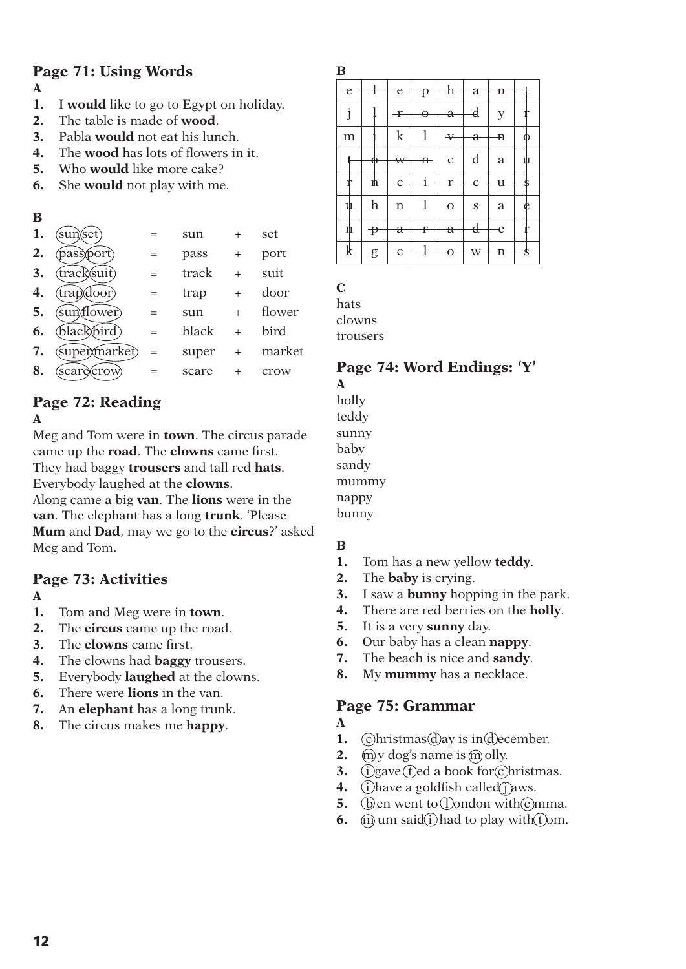# **Page 71: Using Words**

- **A**
- **1.** I **would** like to go to Egypt on holiday.
- **2.** The table is made of **wood**.
- **3.** Pabla **would** not eat his lunch.
- **4.** The **wood** has lots of flowers in it.
- **5.** Who **would** like more cake?
- **6.** She **would** not play with me.

### **B**

| sun)(set)    |     | sun   |        | set    |
|--------------|-----|-------|--------|--------|
| pass\port)   |     | pass  | $^{+}$ | port   |
| track/suit)  | $=$ | track | $^{+}$ | suit   |
| (trap)(door) |     | trap  | $^{+}$ | door   |
| suntflower)  |     | sun   | $^{+}$ | flower |
| black\bird)  | $=$ | black | $^{+}$ | bird   |
| supermarket) | $=$ | super | $^{+}$ | market |
| scareXcrow)  |     | scare |        | crow   |
|              |     |       |        |        |

# **Page 72: Reading**

### **A**

Meg and Tom were in **town**. The circus parade came up the **road**. The **clowns** came first. They had baggy **trousers** and tall red **hats**. Everybody laughed at the **clowns**.

Along came a big **van**. The **lions** were in the **van**. The elephant has a long **trunk**. 'Please **Mum** and **Dad**, may we go to the **circus**?' asked Meg and Tom.

# **Page 73: Activities**

### **A**

- **1.** Tom and Meg were in **town**.
- **2.** The **circus** came up the road.
- **3.** The **clowns** came first.
- **4.** The clowns had **baggy** trousers.
- **5.** Everybody **laughed** at the clowns.
- **6.** There were **lions** in the van.
- **7.** An **elephant** has a long trunk.
- **8.** The circus makes me **happy**.

| $\mathbf e$ | Ι                     | e            | Þ            | $_{\rm h}$   | a         | Ð           |   |
|-------------|-----------------------|--------------|--------------|--------------|-----------|-------------|---|
| j           |                       | $\mathbf{f}$ | A            | $\rm{a}$     | d         | $\mathbf y$ |   |
| m           |                       | $\mathbf k$  | 1            | $\mathbf v$  | a         | Ð           |   |
|             | ⊕                     | ₩            | $\mathbf{n}$ | $\mathbf C$  | d         | a           | ů |
|             | ŋ                     | $\div$       | ł            | f            | е         | $_{\rm t}$  |   |
| ψ           | h                     | n            | 1            | $\mathbf{O}$ | ${\bf S}$ | a           | e |
| n           | $\mathbf{\mathbf{P}}$ | a            | r            | a            | d         | e           |   |
| $\mathbf k$ | ${\rm g}$             | Є            | x            | θ            | ₩         | n           | S |

## **C**

**B**

hats clowns trousers

# **Page 74: Word Endings: 'Y'**

**A** holly teddy sunny baby sandy mummy nappy bunny

# **B**

- **1.** Tom has a new yellow **teddy**.
- **2.** The **baby** is crying.
- **3.** I saw a **bunny** hopping in the park.
- **4.** There are red berries on the **holly**.
- **5.** It is a very **sunny** day.
- **6.** Our baby has a clean **nappy**.
- **7.** The beach is nice and **sandy**.
- **8.** My **mummy** has a necklace.

# **Page 75: Grammar**

### **A**

- **1.**  $\widehat{c}$ hristmas $\widehat{d}$ ay is in $\widehat{d}$ ecember.
- **2.**  $\widehat{m}$  y dog's name is  $\widehat{m}$  olly.
- **3.**  $\widetilde{1}$  gave the a book for christmas.
- **4.** (i) have a goldfish called jaws.
- **5. (b)** en went to **(l)** ondon with  $\epsilon$  mma.
- **6.**  $\widehat{m}$  um said $\widehat{i}$  had to play with  $\widehat{t}$  om.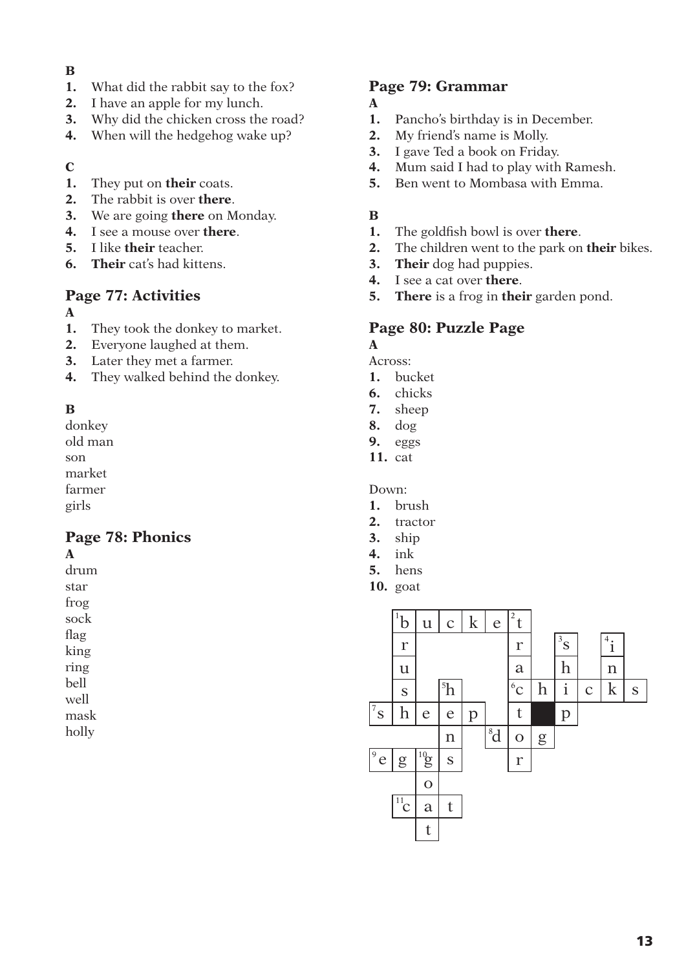### **B**

- **1.** What did the rabbit say to the fox?
- **2.** I have an apple for my lunch.
- **3.** Why did the chicken cross the road?
- **4.** When will the hedgehog wake up?

### **C**

- **1.** They put on **their** coats.
- **2.** The rabbit is over **there**.
- **3.** We are going **there** on Monday.
- **4.** I see a mouse over **there**.
- **5.** I like **their** teacher.
- **6. Their** cat's had kittens.

# **Page 77: Activities**

- **A**
- **1.** They took the donkey to market.
- **2.** Everyone laughed at them.
- **3.** Later they met a farmer.
- **4.** They walked behind the donkey.

### **B**

donkey old man

son

market

farmer girls

# **Page 78: Phonics**

**A**

drum star

frog

sock

flag

king

ring

bell well

mask

holly

### **Page 79: Grammar**

- **A**
- **1.** Pancho's birthday is in December.
- **2.** My friend's name is Molly.
- **3.** I gave Ted a book on Friday.
- **4.** Mum said I had to play with Ramesh.
- **5.** Ben went to Mombasa with Emma.

### **B**

- **1.** The goldfish bowl is over **there**.
- **2.** The children went to the park on **their** bikes.
- **3. Their** dog had puppies.
- **4.** I see a cat over **there**.
- **5. There** is a frog in **their** garden pond.

## **Page 80: Puzzle Page**

**A**

Across:

- **1.** bucket
- **6.** chicks
- **7.** sheep **8.** dog
- 
- **9.** eggs
- **11.** cat

Down:

- **1.** brush
- **2.** tractor
- **3.** ship
- **4.** ink
- **5.** hens
- **10.** goat